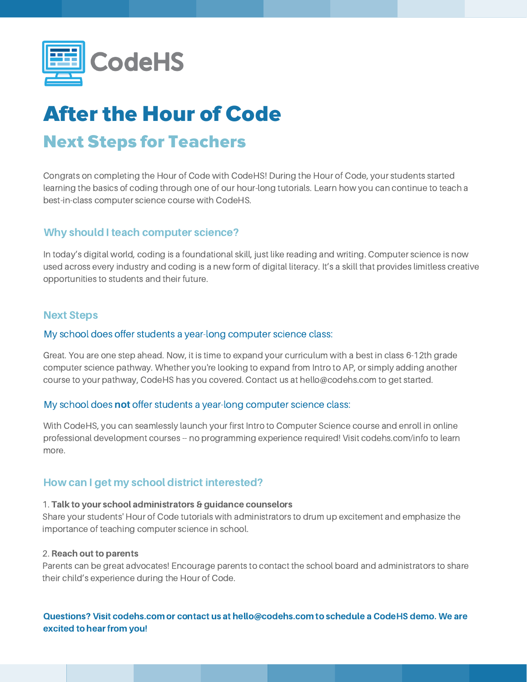

# After the Hour of Code Next Steps for Teachers

Congrats on completing the Hour of Code with CodeHS! During the Hour of Code, your students started learning the basics of coding through one of our hour-long tutorials. Learn how you can continue to teach a best-in-class computer science course with CodeHS.

## Why should I teach computer science?

In today's digital world, coding is a foundational skill, just like reading and writing. Computer science is now used across every industry and coding is a new form of digital literacy. It's a skill that provides limitless creative opportunities to students and their future.

## Next Steps

### My school does offer students a year-long computer science class:

Great. You are one step ahead. Now, it is time to expand your curriculum with a best in class 6-12th grade computer science pathway. Whether you're looking to expand from Intro to AP, or simply adding another course to your pathway, CodeHS has you covered. Contact us at hello@codehs.com to get started.

### My school does not offer students a year-long computer science class:

With CodeHS, you can seamlessly launch your first Intro to Computer Science course and enroll in online professional development courses -- no programming experience required! Visit codehs.com/info to learn more.

## How can I get my school district interested?

#### 1. Talk to your school administrators & guidance counselors

Share your students' Hour of Code tutorials with administrators to drum up excitement and emphasize the importance of teaching computer science in school.

#### 2. Reach out to parents

Parents can be great advocates! Encourage parents to contact the school board and administrators to share their child's experience during the Hour of Code.

## Questions? Visit codehs.com or contact us at hello@codehs.com to schedule a CodeHS demo. We are excited to hear from you!